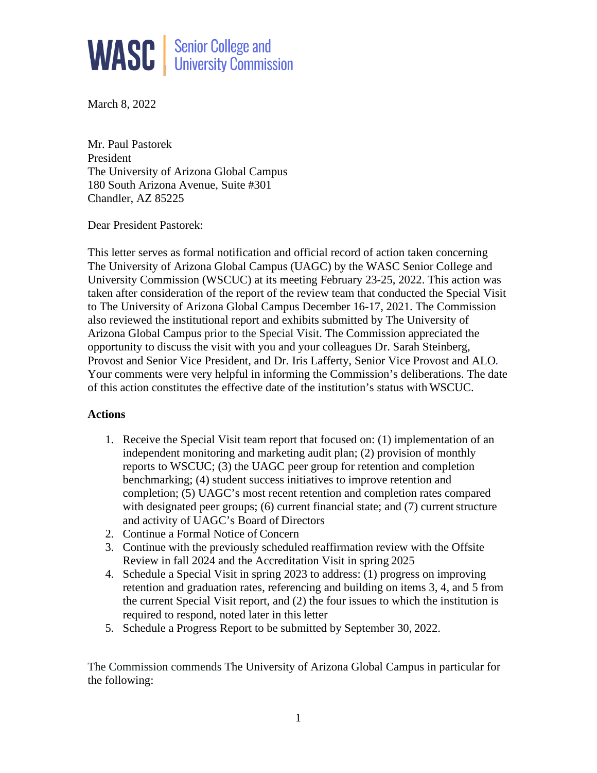

March 8, 2022

Mr. Paul Pastorek President The University of Arizona Global Campus 180 South Arizona Avenue, Suite #301 Chandler, AZ 85225

Dear President Pastorek:

This letter serves as formal notification and official record of action taken concerning The University of Arizona Global Campus (UAGC) by the WASC Senior College and University Commission (WSCUC) at its meeting February 23-25, 2022. This action was taken after consideration of the report of the review team that conducted the Special Visit to The University of Arizona Global Campus December 16-17, 2021. The Commission also reviewed the institutional report and exhibits submitted by The University of Arizona Global Campus prior to the Special Visit. The Commission appreciated the opportunity to discuss the visit with you and your colleagues Dr. Sarah Steinberg, Provost and Senior Vice President, and Dr. Iris Lafferty, Senior Vice Provost and ALO*.*  Your comments were very helpful in informing the Commission's deliberations. The date of this action constitutes the effective date of the institution's status with WSCUC.

## **Actions**

- 1. Receive the Special Visit team report that focused on: (1) implementation of an independent monitoring and marketing audit plan; (2) provision of monthly reports to WSCUC; (3) the UAGC peer group for retention and completion benchmarking; (4) student success initiatives to improve retention and completion; (5) UAGC's most recent retention and completion rates compared with designated peer groups;  $(6)$  current financial state; and  $(7)$  current structure and activity of UAGC's Board of Directors
- 2. Continue a Formal Notice of Concern
- 3. Continue with the previously scheduled reaffirmation review with the Offsite Review in fall 2024 and the Accreditation Visit in spring 2025
- 4. Schedule a Special Visit in spring 2023 to address: (1) progress on improving retention and graduation rates, referencing and building on items 3, 4, and 5 from the current Special Visit report, and (2) the four issues to which the institution is required to respond, noted later in this letter
- 5. Schedule a Progress Report to be submitted by September 30, 2022.

The Commission commends The University of Arizona Global Campus in particular for the following: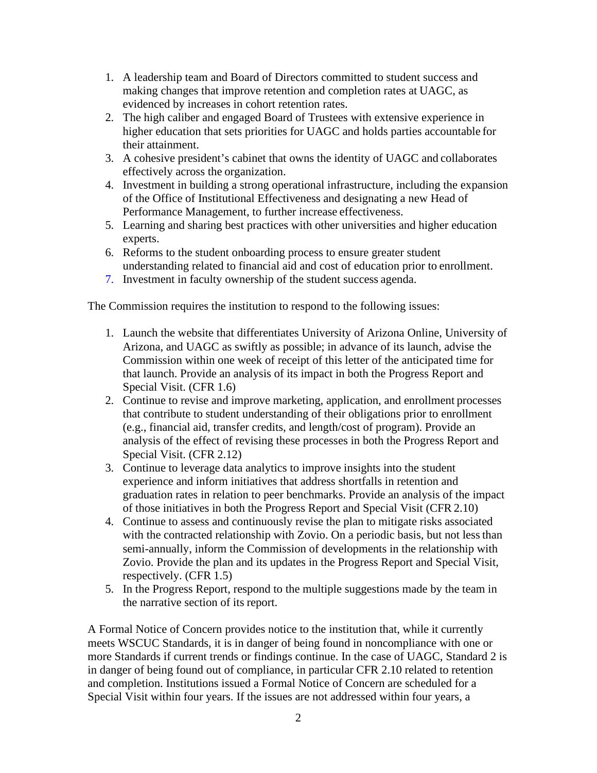- 1. A leadership team and Board of Directors committed to student success and making changes that improve retention and completion rates at UAGC, as evidenced by increases in cohort retention rates.
- 2. The high caliber and engaged Board of Trustees with extensive experience in higher education that sets priorities for UAGC and holds parties accountable for their attainment.
- 3. A cohesive president's cabinet that owns the identity of UAGC and collaborates effectively across the organization.
- 4. Investment in building a strong operational infrastructure, including the expansion of the Office of Institutional Effectiveness and designating a new Head of Performance Management, to further increase effectiveness.
- 5. Learning and sharing best practices with other universities and higher education experts.
- 6. Reforms to the student onboarding process to ensure greater student understanding related to financial aid and cost of education prior to enrollment.
- 7. Investment in faculty ownership of the student success agenda.

The Commission requires the institution to respond to the following issues:

- 1. Launch the website that differentiates University of Arizona Online, University of Arizona, and UAGC as swiftly as possible; in advance of its launch, advise the Commission within one week of receipt of this letter of the anticipated time for that launch. Provide an analysis of its impact in both the Progress Report and Special Visit. (CFR 1.6)
- 2. Continue to revise and improve marketing, application, and enrollment processes that contribute to student understanding of their obligations prior to enrollment (e.g., financial aid, transfer credits, and length/cost of program). Provide an analysis of the effect of revising these processes in both the Progress Report and Special Visit. (CFR 2.12)
- 3. Continue to leverage data analytics to improve insights into the student experience and inform initiatives that address shortfalls in retention and graduation rates in relation to peer benchmarks. Provide an analysis of the impact of those initiatives in both the Progress Report and Special Visit (CFR 2.10)
- 4. Continue to assess and continuously revise the plan to mitigate risks associated with the contracted relationship with Zovio. On a periodic basis, but not less than semi-annually, inform the Commission of developments in the relationship with Zovio. Provide the plan and its updates in the Progress Report and Special Visit, respectively. (CFR 1.5)
- 5. In the Progress Report, respond to the multiple suggestions made by the team in the narrative section of its report.

A Formal Notice of Concern provides notice to the institution that, while it currently meets WSCUC Standards, it is in danger of being found in noncompliance with one or more Standards if current trends or findings continue. In the case of UAGC, Standard 2 is in danger of being found out of compliance, in particular CFR 2.10 related to retention and completion. Institutions issued a Formal Notice of Concern are scheduled for a Special Visit within four years. If the issues are not addressed within four years, a